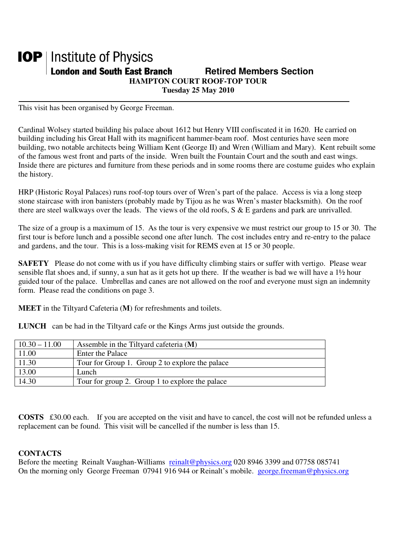### **IOP** | Institute of Physics **London and South East Branch Fig. 2.1 Retired Members Section HAMPTON COURT ROOF-TOP TOUR Tuesday 25 May 2010**

This visit has been organised by George Freeman.

Cardinal Wolsey started building his palace about 1612 but Henry VIII confiscated it in 1620. He carried on building including his Great Hall with its magnificent hammer-beam roof. Most centuries have seen more building, two notable architects being William Kent (George II) and Wren (William and Mary). Kent rebuilt some of the famous west front and parts of the inside. Wren built the Fountain Court and the south and east wings. Inside there are pictures and furniture from these periods and in some rooms there are costume guides who explain the history.

HRP (Historic Royal Palaces) runs roof-top tours over of Wren's part of the palace. Access is via a long steep stone staircase with iron banisters (probably made by Tijou as he was Wren's master blacksmith). On the roof there are steel walkways over the leads. The views of the old roofs, S & E gardens and park are unrivalled.

The size of a group is a maximum of 15. As the tour is very expensive we must restrict our group to 15 or 30. The first tour is before lunch and a possible second one after lunch. The cost includes entry and re-entry to the palace and gardens, and the tour. This is a loss-making visit for REMS even at 15 or 30 people.

**SAFETY** Please do not come with us if you have difficulty climbing stairs or suffer with vertigo. Please wear sensible flat shoes and, if sunny, a sun hat as it gets hot up there. If the weather is bad we will have a 1½ hour guided tour of the palace. Umbrellas and canes are not allowed on the roof and everyone must sign an indemnity form. Please read the conditions on page 3.

**MEET** in the Tiltyard Cafeteria (**M**) for refreshments and toilets.

**LUNCH** can be had in the Tiltyard cafe or the Kings Arms just outside the grounds.

| $10.30 - 11.00$ | Assemble in the Tiltyard cafeteria $(M)$        |
|-----------------|-------------------------------------------------|
| 11.00           | <b>Enter the Palace</b>                         |
| 11.30           | Tour for Group 1. Group 2 to explore the palace |
| 13.00           | Lunch                                           |
| 14.30           | Tour for group 2. Group 1 to explore the palace |

**COSTS** £30.00 each. If you are accepted on the visit and have to cancel, the cost will not be refunded unless a replacement can be found. This visit will be cancelled if the number is less than 15.

#### **CONTACTS**

Before the meeting Reinalt Vaughan-Williams reinalt@physics.org 020 8946 3399 and 07758 085741 On the morning only George Freeman 07941 916 944 or Reinalt's mobile. george.freeman@physics.org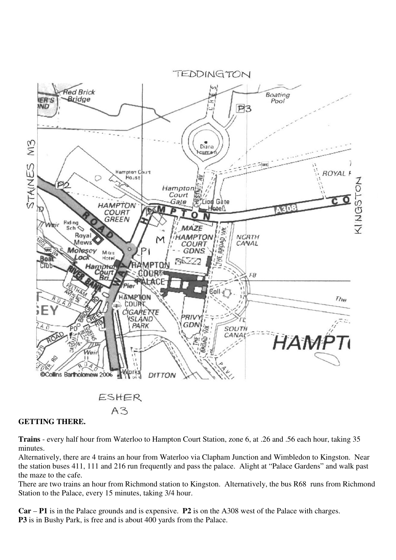

#### $A3$

#### **GETTING THERE.**

**Trains** - every half hour from Waterloo to Hampton Court Station, zone 6, at .26 and .56 each hour, taking 35 minutes.

Alternatively, there are 4 trains an hour from Waterloo via Clapham Junction and Wimbledon to Kingston. Near the station buses 411, 111 and 216 run frequently and pass the palace. Alight at "Palace Gardens" and walk past the maze to the cafe.

There are two trains an hour from Richmond station to Kingston. Alternatively, the bus R68 runs from Richmond Station to the Palace, every 15 minutes, taking 3/4 hour.

**Car** – **P1** is in the Palace grounds and is expensive. **P2** is on the A308 west of the Palace with charges. **P3** is in Bushy Park, is free and is about 400 yards from the Palace.